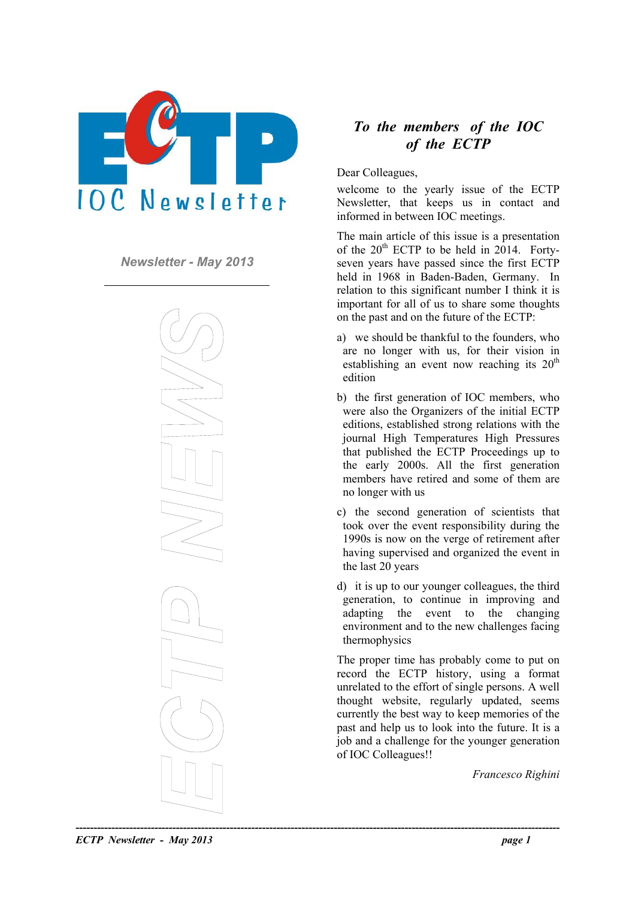

*Newsletter - May 2013* 



### *To the members of the IOC of the ECTP*

Dear Colleagues,

welcome to the yearly issue of the ECTP Newsletter, that keeps us in contact and informed in between IOC meetings.

The main article of this issue is a presentation of the  $20^{th}$  ECTP to be held in  $2014$ . Fortyseven years have passed since the first ECTP held in 1968 in Baden-Baden, Germany. In relation to this significant number I think it is important for all of us to share some thoughts on the past and on the future of the ECTP:

- a) we should be thankful to the founders, who are no longer with us, for their vision in establishing an event now reaching its  $20<sup>th</sup>$ edition
- b) the first generation of IOC members, who were also the Organizers of the initial ECTP editions, established strong relations with the journal High Temperatures High Pressures that published the ECTP Proceedings up to the early 2000s. All the first generation members have retired and some of them are no longer with us
- c) the second generation of scientists that took over the event responsibility during the 1990s is now on the verge of retirement after having supervised and organized the event in the last 20 years
- d) it is up to our younger colleagues, the third generation, to continue in improving and adapting the event to the changing environment and to the new challenges facing thermophysics

The proper time has probably come to put on record the ECTP history, using a format unrelated to the effort of single persons. A well thought website, regularly updated, seems currently the best way to keep memories of the past and help us to look into the future. It is a job and a challenge for the younger generation of IOC Colleagues!!

*Francesco Righini*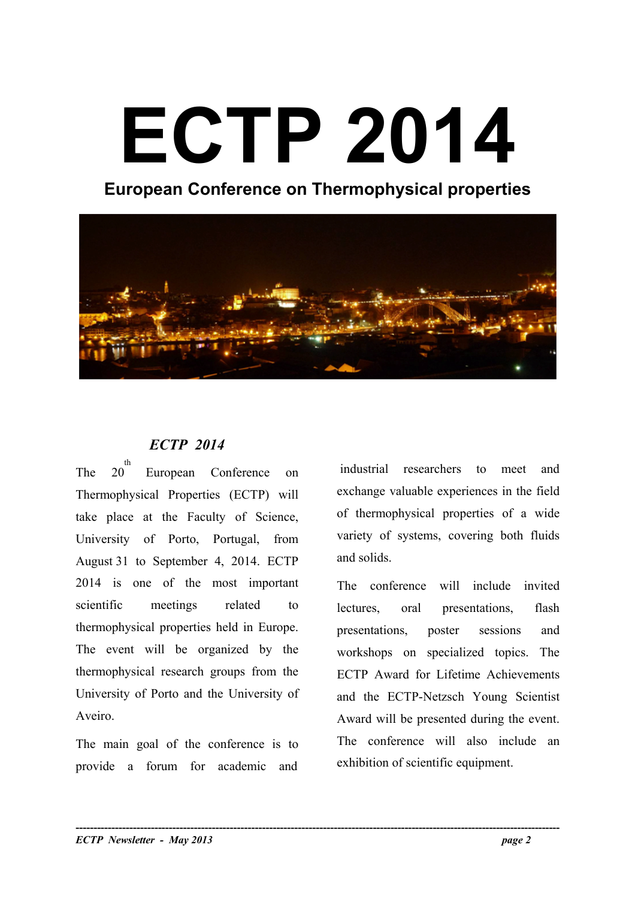# **ECTP 2014**

# **European Conference on Thermophysical properties**



## *ECTP 2014*

The 20 th European Conference on Thermophysical Properties (ECTP) will take place at the Faculty of Science, University of Porto, Portugal, from August 31 to September 4, 2014. ECTP 2014 is one of the most important scientific meetings related to thermophysical properties held in Europe. The event will be organized by the thermophysical research groups from the University of Porto and the University of Aveiro.

The main goal of the conference is to provide a forum for academic and

industrial researchers to meet and exchange valuable experiences in the field of thermophysical properties of a wide variety of systems, covering both fluids and solids.

The conference will include invited lectures, oral presentations, flash presentations, poster sessions and workshops on specialized topics. The ECTP Award for Lifetime Achievements and the ECTP-Netzsch Young Scientist Award will be presented during the event. The conference will also include an exhibition of scientific equipment.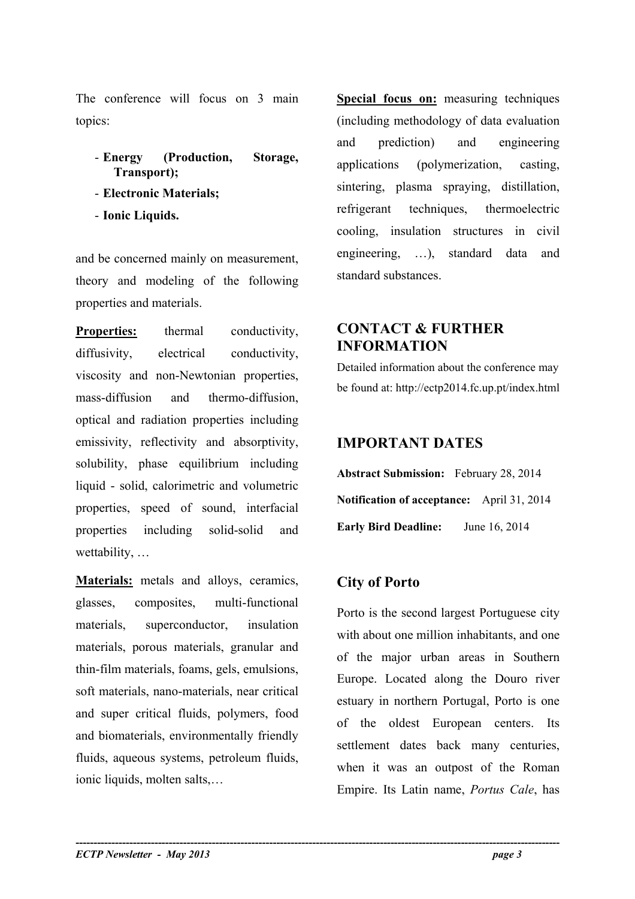The conference will focus on 3 main topics:

- **Energy (Production, Storage, Transport);**
- **Electronic Materials;**
- **Ionic Liquids.**

and be concerned mainly on measurement, theory and modeling of the following properties and materials.

**Properties:** thermal conductivity, diffusivity, electrical conductivity, viscosity and non-Newtonian properties, mass-diffusion and thermo-diffusion, optical and radiation properties including emissivity, reflectivity and absorptivity, solubility, phase equilibrium including liquid - solid, calorimetric and volumetric properties, speed of sound, interfacial properties including solid-solid and wettability, …

**Materials:** metals and alloys, ceramics, City of Porto glasses, composites, multi-functional materials, superconductor, insulation materials, porous materials, granular and thin-film materials, foams, gels, emulsions, soft materials, nano-materials, near critical and super critical fluids, polymers, food and biomaterials, environmentally friendly fluids, aqueous systems, petroleum fluids, ionic liquids, molten salts,…

**Special focus on:** measuring techniques (including methodology of data evaluation and prediction) and engineering applications (polymerization, casting, sintering, plasma spraying, distillation, refrigerant techniques, thermoelectric cooling, insulation structures in civil engineering, …), standard data and standard substances.

### **CONTACT & FURTHER INFORMATION**

Detailed information about the conference may be found at: <http://ectp2014.fc.up.pt/index.html>

### **IMPORTANT DATES**

**Abstract Submission:** February 28, 2014 **Notification of acceptance:** April 31, 2014 **Early Bird Deadline:** June 16, 2014

Porto is the second largest Portuguese city with about one million inhabitants, and one of the major urban areas in Southern Europe. Located along the Douro river estuary in northern Portugal, Porto is one of the oldest European centers. Its settlement dates back many centuries, when it was an outpost of the Roman Empire. Its Latin name, *Portus Cale*, has